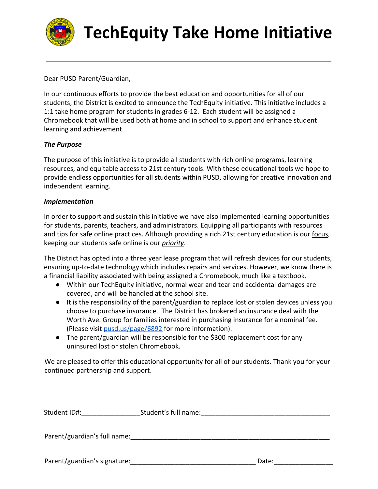

# **TechEquity Take Home Initiative**

Dear PUSD Parent/Guardian,

In our continuous efforts to provide the best education and opportunities for all of our students, the District is excited to announce the TechEquity initiative. This initiative includes a 1:1 take home program for students in grades 6-12. Each student will be assigned a Chromebook that will be used both at home and in school to support and enhance student learning and achievement.

## *The Purpose*

The purpose of this initiative is to provide all students with rich online programs, learning resources, and equitable access to 21st century tools. With these educational tools we hope to provide endless opportunities for all students within PUSD, allowing for creative innovation and independent learning.

#### *Implementation*

In order to support and sustain this initiative we have also implemented learning opportunities for students, parents, teachers, and administrators. Equipping all participants with resources and tips for safe online practices. Although providing a rich 21st century education is our focus, keeping our students safe online is our *priority*.

The District has opted into a three year lease program that will refresh devices for our students, ensuring up-to-date technology which includes repairs and services. However, we know there is a financial liability associated with being assigned a Chromebook, much like a textbook.

- Within our TechEquity initiative, normal wear and tear and accidental damages are covered, and will be handled at the school site.
- It is the responsibility of the parent/guardian to replace lost or stolen devices unless you choose to purchase insurance. The District has brokered an insurance deal with the Worth Ave. Group for families interested in purchasing insurance for a nominal fee. (Please visit [pusd.us/page/6892](http://pusd.us/page/6892) for more information).
- The parent/guardian will be responsible for the \$300 replacement cost for any uninsured lost or stolen Chromebook.

We are pleased to offer this educational opportunity for all of our students. Thank you for your continued partnership and support.

| Student ID#: | Student's full name: |
|--------------|----------------------|
|--------------|----------------------|

Parent/guardian's full name:

Parent/guardian's signature: etc. and the state of the Date: